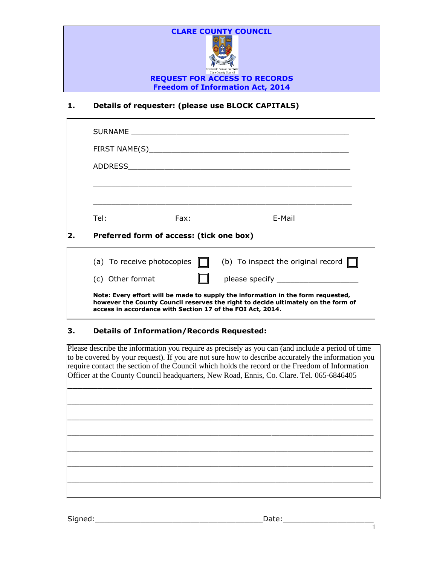

# **1. Details of requester: (please use BLOCK CAPITALS)**

|     | Tel:                                                                             | Fax: |  | E-Mail                                                                      |  |  |  |
|-----|----------------------------------------------------------------------------------|------|--|-----------------------------------------------------------------------------|--|--|--|
| l2. | Preferred form of access: (tick one box)                                         |      |  |                                                                             |  |  |  |
|     |                                                                                  |      |  | (a) To receive photocopies $\Box$ (b) To inspect the original record $\Box$ |  |  |  |
|     | (c) Other format                                                                 |      |  |                                                                             |  |  |  |
|     | Note: Every effort will be made to supply the information in the form requested, |      |  |                                                                             |  |  |  |

**however the County Council reserves the right to decide ultimately on the form of access in accordance with Section 17 of the FOI Act, 2014.**

## **3. Details of Information/Records Requested:**

Please describe the information you require as precisely as you can (and include a period of time to be covered by your request). If you are not sure how to describe accurately the information you require contact the section of the Council which holds the record or the Freedom of Information Officer at the County Council headquarters, New Road, Ennis, Co. Clare. Tel. 065-6846405

 $\_$  , and the contribution of the contribution of  $\mathcal{L}_\mathcal{A}$  , and the contribution of  $\mathcal{L}_\mathcal{A}$ 

\_\_\_\_\_\_\_\_\_\_\_\_\_\_\_\_\_\_\_\_\_\_\_\_\_\_\_\_\_\_\_\_\_\_\_\_\_\_\_\_\_\_\_\_\_\_\_\_\_\_\_\_\_\_\_\_\_\_\_\_\_\_\_\_\_\_\_\_\_\_\_\_\_\_\_

\_\_\_\_\_\_\_\_\_\_\_\_\_\_\_\_\_\_\_\_\_\_\_\_\_\_\_\_\_\_\_\_\_\_\_\_\_\_\_\_\_\_\_\_\_\_\_\_\_\_\_\_\_\_\_\_\_\_\_\_\_\_\_\_\_\_\_\_\_\_\_\_\_\_\_

 $\Box$ 

\_\_\_\_\_\_\_\_\_\_\_\_\_\_\_\_\_\_\_\_\_\_\_\_\_\_\_\_\_\_\_\_\_\_\_\_\_\_\_\_\_\_\_\_\_\_\_\_\_\_\_\_\_\_\_\_\_\_\_\_\_\_\_\_\_\_\_\_\_\_\_\_\_\_\_

\_\_\_\_\_\_\_\_\_\_\_\_\_\_\_\_\_\_\_\_\_\_\_\_\_\_\_\_\_\_\_\_\_\_\_\_\_\_\_\_\_\_\_\_\_\_\_\_\_\_\_\_\_\_\_\_\_\_\_\_\_\_\_\_\_\_\_\_\_\_\_\_\_\_\_

 $\Box$ 

Signed:\_\_\_\_\_\_\_\_\_\_\_\_\_\_\_\_\_\_\_\_\_\_\_\_\_\_\_\_\_\_\_\_\_\_\_\_\_Date:\_\_\_\_\_\_\_\_\_\_\_\_\_\_\_\_\_\_\_\_

1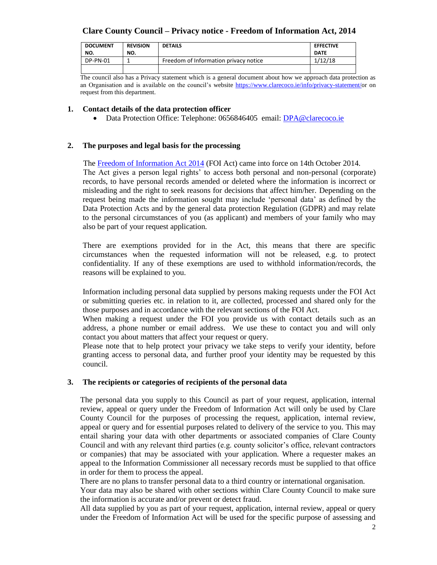# **Clare County Council – Privacy notice - Freedom of Information Act, 2014**

| <b>DOCUMENT</b><br>NO. | <b>REVISION</b><br>NO. | <b>DETAILS</b>                        | <b>EFFECTIVE</b><br><b>DATE</b> |
|------------------------|------------------------|---------------------------------------|---------------------------------|
| DP-PN-01               |                        | Freedom of Information privacy notice | 1/12/18                         |
|                        |                        |                                       |                                 |

The council also has a Privacy statement which is a general document about how we approach data protection as an Organisation and is available on the council's website [https://www.clarecoco.ie/info/privacy-statement/o](https://www.clarecoco.ie/info/privacy-statement/)r on request from this department.

### **1. Contact details of the data protection officer**

• Data Protection Office: Telephone: 0656846405 email: [DPA@clarecoco.ie](mailto:DPA@clarecoco.ie)

### **2. The purposes and legal basis for the processing**

 The [Freedom of Information Act 2014](http://www.irishstatutebook.ie/2014/en/act/pub/0030/index.html) (FOI Act) came into force on 14th October 2014. The Act gives a person legal rights' to access both personal and non-personal (corporate) records, to have personal records amended or deleted where the information is incorrect or misleading and the right to seek reasons for decisions that affect him/her. Depending on the request being made the information sought may include 'personal data' as defined by the Data Protection Acts and by the general data protection Regulation (GDPR) and may relate to the personal circumstances of you (as applicant) and members of your family who may also be part of your request application.

There are exemptions provided for in the Act, this means that there are specific circumstances when the requested information will not be released, e.g. to protect confidentiality. If any of these exemptions are used to withhold information/records, the reasons will be explained to you.

Information including personal data supplied by persons making requests under the FOI Act or submitting queries etc. in relation to it, are collected, processed and shared only for the those purposes and in accordance with the relevant sections of the FOI Act.

When making a request under the FOI you provide us with contact details such as an address, a phone number or email address. We use these to contact you and will only contact you about matters that affect your request or query.

Please note that to help protect your privacy we take steps to verify your identity, before granting access to personal data, and further proof your identity may be requested by this council.

#### **3. The recipients or categories of recipients of the personal data**

The personal data you supply to this Council as part of your request, application, internal review, appeal or query under the Freedom of Information Act will only be used by Clare County Council for the purposes of processing the request, application, internal review, appeal or query and for essential purposes related to delivery of the service to you. This may entail sharing your data with other departments or associated companies of Clare County Council and with any relevant third parties (e.g. county solicitor's office, relevant contractors or companies) that may be associated with your application. Where a requester makes an appeal to the Information Commissioner all necessary records must be supplied to that office in order for them to process the appeal.

There are no plans to transfer personal data to a third country or international organisation. Your data may also be shared with other sections within Clare County Council to make sure the information is accurate and/or prevent or detect fraud.

All data supplied by you as part of your request, application, internal review, appeal or query under the Freedom of Information Act will be used for the specific purpose of assessing and